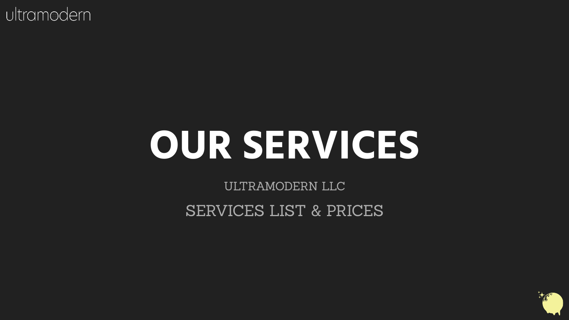# **OUR SERVICES**

ULTRAMODERN LLC

SERVICES LIST & PRICES

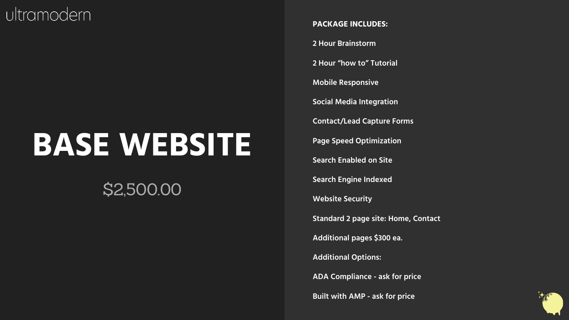## **BASE WEBSITE**

## \$2,500.00

**PACKAGE INCLUDES:**

**2 Hour Brainstorm**

**2 Hour "how to" Tutorial** 

**Mobile Responsive**

**Social Media Integration** 

**Contact/Lead Capture Forms** 

**Page Speed Optimization** 

**Search Enabled on Site** 

**Search Engine Indexed** 

**Website Security** 

**Standard 2 page site: Home, Contact**

**Additional pages \$300 ea.** 

**Additional Options:**

**ADA Compliance - ask for price**

**Built with AMP - ask for price** 

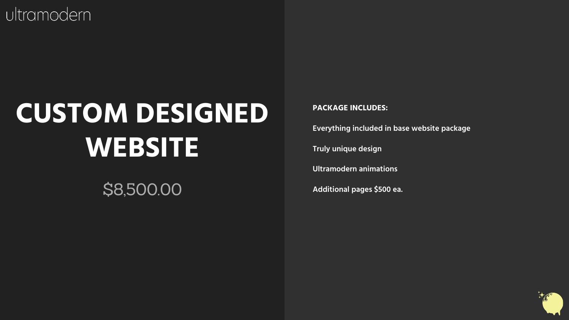## **CUSTOM DESIGNED WEBSITE**

### \$8,500.00

#### **PACKAGE INCLUDES:**

**Everything included in base website package** 

**Truly unique design**

**Ultramodern animations**

**Additional pages \$500 ea.**

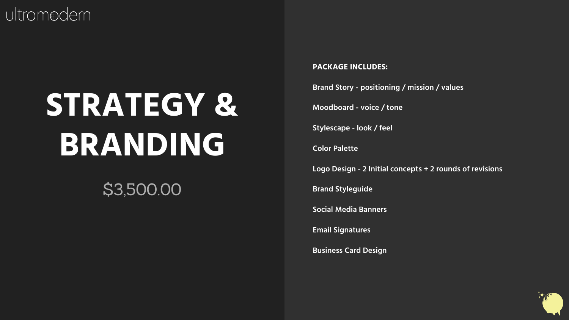# **STRATEGY & BRANDING**

### \$3,500.00

#### **PACKAGE INCLUDES:**

**Brand Story - positioning / mission / values** 

**Moodboard - voice / tone**

**Stylescape - look / feel**

**Color Palette**

**Logo Design - 2 Initial concepts + 2 rounds of revisions** 

**Brand Styleguide**

**Social Media Banners**

**Email Signatures**

**Business Card Design**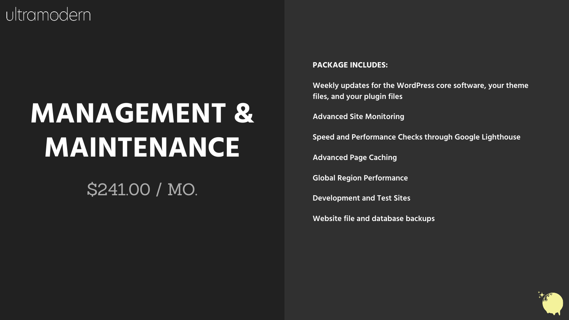## **MANAGEMENT & MAINTENANCE**

#### \$241.00 / MO.

#### **PACKAGE INCLUDES:**

**Weekly updates for the WordPress core software, your theme files, and your plugin files**

**Advanced Site Monitoring**

**Speed and Performance Checks through Google Lighthouse** 

**Advanced Page Caching**

**Global Region Performance** 

**Development and Test Sites** 

**Website file and database backups**